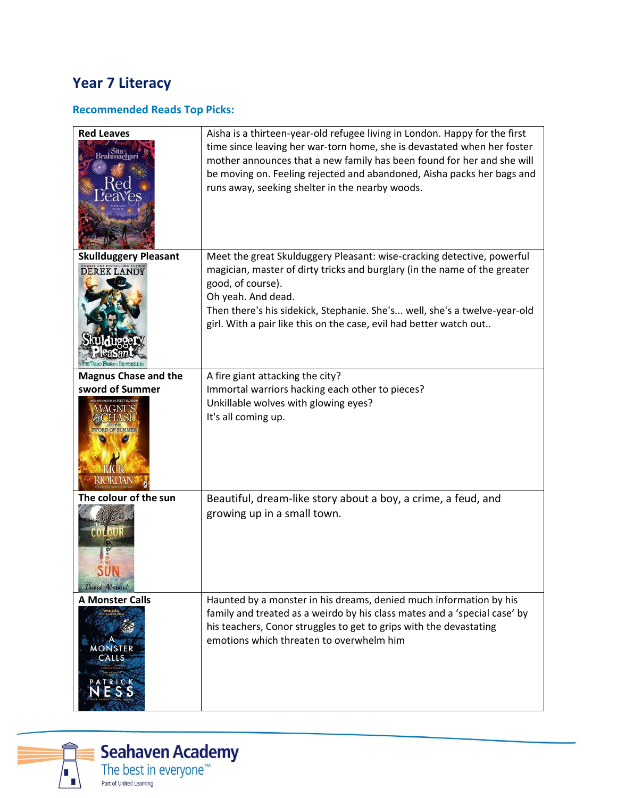# **Year 7 Literacy**

# **Recommended Reads Top Picks:**

| <b>Red Leaves</b><br>Brahmach.<br>Brahmach | Aisha is a thirteen-year-old refugee living in London. Happy for the first<br>time since leaving her war-torn home, she is devastated when her foster<br>mother announces that a new family has been found for her and she will<br>be moving on. Feeling rejected and abandoned, Aisha packs her bags and<br>runs away, seeking shelter in the nearby woods. |
|--------------------------------------------|--------------------------------------------------------------------------------------------------------------------------------------------------------------------------------------------------------------------------------------------------------------------------------------------------------------------------------------------------------------|
| <b>Skullduggery Pleasant</b>               | Meet the great Skulduggery Pleasant: wise-cracking detective, powerful                                                                                                                                                                                                                                                                                       |
| <b>DEREK LANDY</b>                         | magician, master of dirty tricks and burglary (in the name of the greater<br>good, of course).<br>Oh yeah. And dead.<br>Then there's his sidekick, Stephanie. She's well, she's a twelve-year-old<br>girl. With a pair like this on the case, evil had better watch out                                                                                      |
| <b>Magnus Chase and the</b>                | A fire giant attacking the city?                                                                                                                                                                                                                                                                                                                             |
| sword of Summer                            | Immortal warriors hacking each other to pieces?                                                                                                                                                                                                                                                                                                              |
|                                            | Unkillable wolves with glowing eyes?<br>It's all coming up.                                                                                                                                                                                                                                                                                                  |
| The colour of the sun                      | Beautiful, dream-like story about a boy, a crime, a feud, and                                                                                                                                                                                                                                                                                                |
| 00100<br>David Almond                      | growing up in a small town.                                                                                                                                                                                                                                                                                                                                  |
| <b>A Monster Calls</b>                     | Haunted by a monster in his dreams, denied much information by his                                                                                                                                                                                                                                                                                           |
| WINNER<br><b>MONSTER</b><br>CALLS<br>TRICK | family and treated as a weirdo by his class mates and a 'special case' by<br>his teachers, Conor struggles to get to grips with the devastating<br>emotions which threaten to overwhelm him                                                                                                                                                                  |

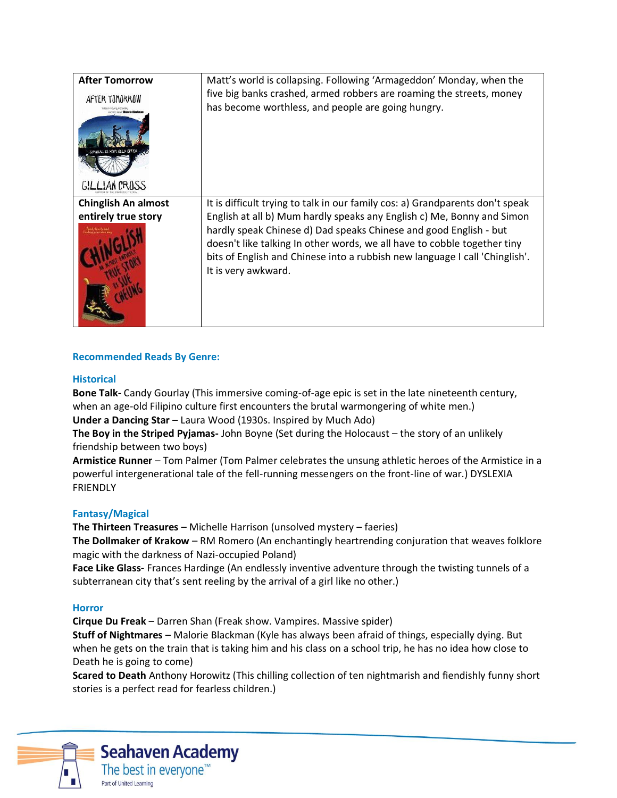| <b>After Tomorrow</b><br>AFTER TONORROW<br>citing read" <b>Maloris Black</b><br>GILLIAN CROSS | Matt's world is collapsing. Following 'Armageddon' Monday, when the<br>five big banks crashed, armed robbers are roaming the streets, money<br>has become worthless, and people are going hungry.                                                                                                                                                                                                              |
|-----------------------------------------------------------------------------------------------|----------------------------------------------------------------------------------------------------------------------------------------------------------------------------------------------------------------------------------------------------------------------------------------------------------------------------------------------------------------------------------------------------------------|
| <b>Chinglish An almost</b><br>entirely true story                                             | It is difficult trying to talk in our family cos: a) Grandparents don't speak<br>English at all b) Mum hardly speaks any English c) Me, Bonny and Simon<br>hardly speak Chinese d) Dad speaks Chinese and good English - but<br>doesn't like talking In other words, we all have to cobble together tiny<br>bits of English and Chinese into a rubbish new language I call 'Chinglish'.<br>It is very awkward. |

### **Recommended Reads By Genre:**

### **Historical**

**Bone Talk-** Candy Gourlay (This immersive coming-of-age epic is set in the late nineteenth century, when an age-old Filipino culture first encounters the brutal warmongering of white men.)

**Under a Dancing Star** – Laura Wood (1930s. Inspired by Much Ado)

**The Boy in the Striped Pyjamas-** John Boyne (Set during the Holocaust – the story of an unlikely friendship between two boys)

**Armistice Runner** – Tom Palmer (Tom Palmer celebrates the unsung athletic heroes of the Armistice in a powerful intergenerational tale of the fell-running messengers on the front-line of war.) DYSLEXIA FRIENDLY

### **Fantasy/Magical**

**The Thirteen Treasures** – Michelle Harrison (unsolved mystery – faeries)

**The Dollmaker of Krakow** – RM Romero (An enchantingly heartrending conjuration that weaves folklore magic with the darkness of Nazi-occupied Poland)

**Face Like Glass-** Frances Hardinge (An endlessly inventive adventure through the twisting tunnels of a subterranean city that's sent reeling by the arrival of a girl like no other.)

### **Horror**

**Cirque Du Freak** – Darren Shan (Freak show. Vampires. Massive spider)

**Stuff of Nightmares** – Malorie Blackman (Kyle has always been afraid of things, especially dying. But when he gets on the train that is taking him and his class on a school trip, he has no idea how close to Death he is going to come)

**Scared to Death** Anthony Horowitz (This chilling collection of ten nightmarish and fiendishly funny short stories is a perfect read for fearless children.)



## **Seahaven Academy** The best in everyone<sup>™</sup> Part of United Learning